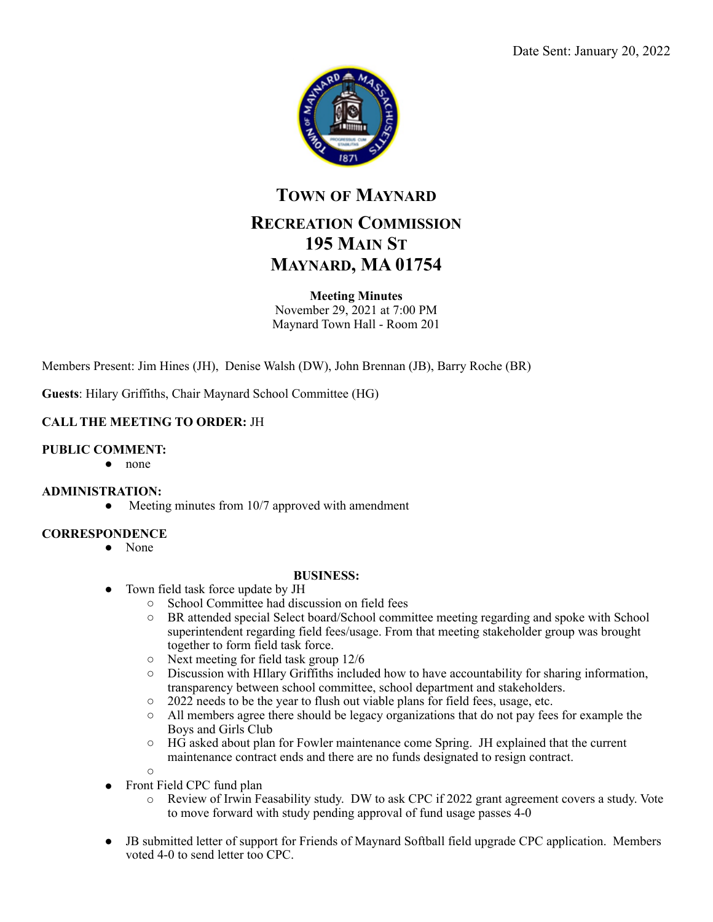

# **TOWN OF MAYNARD RECREATION COMMISSION 195 MAIN ST MAYNARD, MA 01754**

#### **Meeting Minutes**

November 29, 2021 at 7:00 PM Maynard Town Hall - Room 201

Members Present: Jim Hines (JH), Denise Walsh (DW), John Brennan (JB), Barry Roche (BR)

**Guests**: Hilary Griffiths, Chair Maynard School Committee (HG)

### **CALL THE MEETING TO ORDER:** JH

#### **PUBLIC COMMENT:**

● none

#### **ADMINISTRATION:**

• Meeting minutes from 10/7 approved with amendment

#### **CORRESPONDENCE**

● None

#### **BUSINESS:**

- Town field task force update by JH
	- School Committee had discussion on field fees
	- BR attended special Select board/School committee meeting regarding and spoke with School superintendent regarding field fees/usage. From that meeting stakeholder group was brought together to form field task force.
	- Next meeting for field task group 12/6
	- Discussion with HIlary Griffiths included how to have accountability for sharing information, transparency between school committee, school department and stakeholders.
	- 2022 needs to be the year to flush out viable plans for field fees, usage, etc.
	- All members agree there should be legacy organizations that do not pay fees for example the Boys and Girls Club
	- HG asked about plan for Fowler maintenance come Spring. JH explained that the current maintenance contract ends and there are no funds designated to resign contract.
- Front Field CPC fund plan

 $\bigcap$ 

- $\circ$  Review of Irwin Feasability study. DW to ask CPC if 2022 grant agreement covers a study. Vote to move forward with study pending approval of fund usage passes 4-0
- JB submitted letter of support for Friends of Maynard Softball field upgrade CPC application. Members voted 4-0 to send letter too CPC.